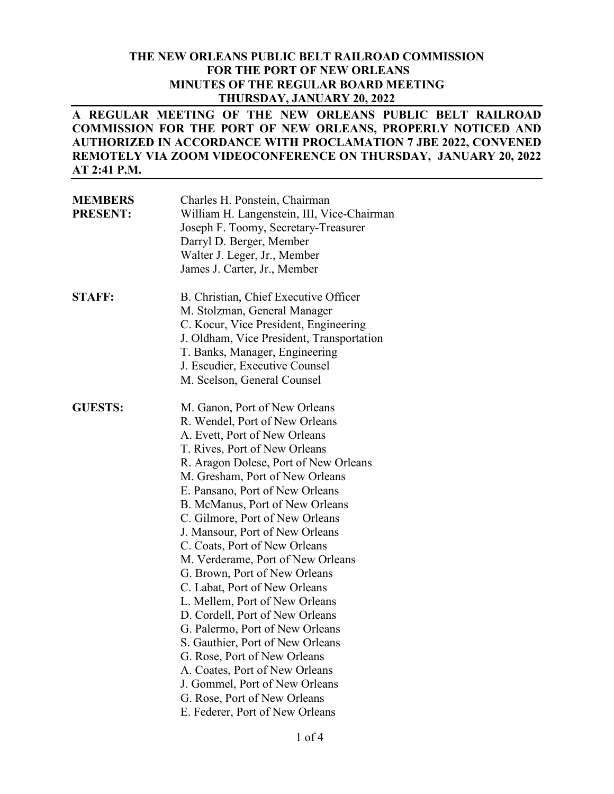### **THE NEW ORLEANS PUBLIC BELT RAILROAD COMMISSION FOR THE PORT OF NEW ORLEANS MINUTES OF THE REGULAR BOARD MEETING THURSDAY, JANUARY 20, 2022**

### **A REGULAR MEETING OF THE NEW ORLEANS PUBLIC BELT RAILROAD COMMISSION FOR THE PORT OF NEW ORLEANS, PROPERLY NOTICED AND AUTHORIZED IN ACCORDANCE WITH PROCLAMATION 7 JBE 2022, CONVENED REMOTELY VIA ZOOM VIDEOCONFERENCE ON THURSDAY, JANUARY 20, 2022 AT 2:41 P.M.**

| <b>MEMBERS</b><br><b>PRESENT:</b> | Charles H. Ponstein, Chairman<br>William H. Langenstein, III, Vice-Chairman<br>Joseph F. Toomy, Secretary-Treasurer<br>Darryl D. Berger, Member<br>Walter J. Leger, Jr., Member<br>James J. Carter, Jr., Member                                                                                                                                                                                                                                                                                                                                                                                                                                                                                                                                                                                                      |
|-----------------------------------|----------------------------------------------------------------------------------------------------------------------------------------------------------------------------------------------------------------------------------------------------------------------------------------------------------------------------------------------------------------------------------------------------------------------------------------------------------------------------------------------------------------------------------------------------------------------------------------------------------------------------------------------------------------------------------------------------------------------------------------------------------------------------------------------------------------------|
| <b>STAFF:</b>                     | B. Christian, Chief Executive Officer<br>M. Stolzman, General Manager<br>C. Kocur, Vice President, Engineering<br>J. Oldham, Vice President, Transportation<br>T. Banks, Manager, Engineering<br>J. Escudier, Executive Counsel<br>M. Scelson, General Counsel                                                                                                                                                                                                                                                                                                                                                                                                                                                                                                                                                       |
| <b>GUESTS:</b>                    | M. Ganon, Port of New Orleans<br>R. Wendel, Port of New Orleans<br>A. Evett, Port of New Orleans<br>T. Rives, Port of New Orleans<br>R. Aragon Dolese, Port of New Orleans<br>M. Gresham, Port of New Orleans<br>E. Pansano, Port of New Orleans<br>B. McManus, Port of New Orleans<br>C. Gilmore, Port of New Orleans<br>J. Mansour, Port of New Orleans<br>C. Coats, Port of New Orleans<br>M. Verderame, Port of New Orleans<br>G. Brown, Port of New Orleans<br>C. Labat, Port of New Orleans<br>L. Mellem, Port of New Orleans<br>D. Cordell, Port of New Orleans<br>G. Palermo, Port of New Orleans<br>S. Gauthier, Port of New Orleans<br>G. Rose, Port of New Orleans<br>A. Coates, Port of New Orleans<br>J. Gommel, Port of New Orleans<br>G. Rose, Port of New Orleans<br>E. Federer, Port of New Orleans |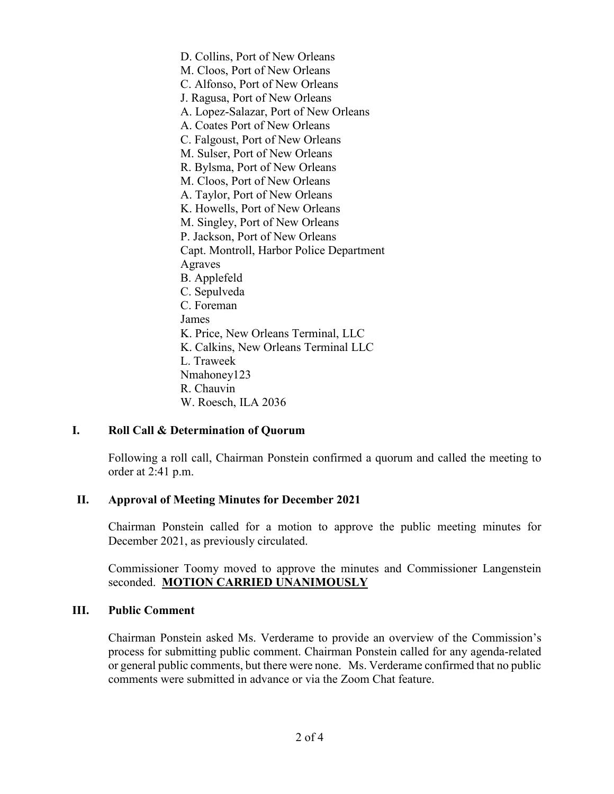D. Collins, Port of New Orleans M. Cloos, Port of New Orleans C. Alfonso, Port of New Orleans J. Ragusa, Port of New Orleans A. Lopez-Salazar, Port of New Orleans A. Coates Port of New Orleans C. Falgoust, Port of New Orleans M. Sulser, Port of New Orleans R. Bylsma, Port of New Orleans M. Cloos, Port of New Orleans A. Taylor, Port of New Orleans K. Howells, Port of New Orleans M. Singley, Port of New Orleans P. Jackson, Port of New Orleans Capt. Montroll, Harbor Police Department Agraves B. Applefeld C. Sepulveda C. Foreman James K. Price, New Orleans Terminal, LLC K. Calkins, New Orleans Terminal LLC L. Traweek Nmahoney123 R. Chauvin W. Roesch, ILA 2036

### **I. Roll Call & Determination of Quorum**

Following a roll call, Chairman Ponstein confirmed a quorum and called the meeting to order at 2:41 p.m.

### **II. Approval of Meeting Minutes for December 2021**

Chairman Ponstein called for a motion to approve the public meeting minutes for December 2021, as previously circulated.

Commissioner Toomy moved to approve the minutes and Commissioner Langenstein seconded. **MOTION CARRIED UNANIMOUSLY**

### **III. Public Comment**

Chairman Ponstein asked Ms. Verderame to provide an overview of the Commission's process for submitting public comment. Chairman Ponstein called for any agenda-related or general public comments, but there were none. Ms. Verderame confirmed that no public comments were submitted in advance or via the Zoom Chat feature.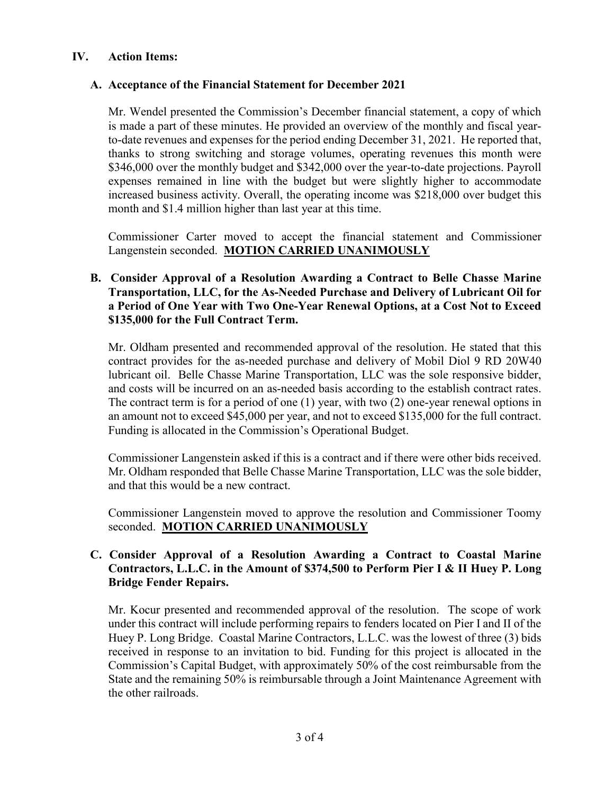# **IV. Action Items:**

# **A. Acceptance of the Financial Statement for December 2021**

Mr. Wendel presented the Commission's December financial statement, a copy of which is made a part of these minutes. He provided an overview of the monthly and fiscal yearto-date revenues and expenses for the period ending December 31, 2021. He reported that, thanks to strong switching and storage volumes, operating revenues this month were \$346,000 over the monthly budget and \$342,000 over the year-to-date projections. Payroll expenses remained in line with the budget but were slightly higher to accommodate increased business activity. Overall, the operating income was \$218,000 over budget this month and \$1.4 million higher than last year at this time.

Commissioner Carter moved to accept the financial statement and Commissioner Langenstein seconded. **MOTION CARRIED UNANIMOUSLY**

# **B. Consider Approval of a Resolution Awarding a Contract to Belle Chasse Marine Transportation, LLC, for the As-Needed Purchase and Delivery of Lubricant Oil for a Period of One Year with Two One-Year Renewal Options, at a Cost Not to Exceed \$135,000 for the Full Contract Term.**

Mr. Oldham presented and recommended approval of the resolution. He stated that this contract provides for the as-needed purchase and delivery of Mobil Diol 9 RD 20W40 lubricant oil. Belle Chasse Marine Transportation, LLC was the sole responsive bidder, and costs will be incurred on an as-needed basis according to the establish contract rates. The contract term is for a period of one (1) year, with two (2) one-year renewal options in an amount not to exceed \$45,000 per year, and not to exceed \$135,000 for the full contract. Funding is allocated in the Commission's Operational Budget.

Commissioner Langenstein asked if this is a contract and if there were other bids received. Mr. Oldham responded that Belle Chasse Marine Transportation, LLC was the sole bidder, and that this would be a new contract.

Commissioner Langenstein moved to approve the resolution and Commissioner Toomy seconded. **MOTION CARRIED UNANIMOUSLY**

# **C. Consider Approval of a Resolution Awarding a Contract to Coastal Marine Contractors, L.L.C. in the Amount of \$374,500 to Perform Pier I & II Huey P. Long Bridge Fender Repairs.**

Mr. Kocur presented and recommended approval of the resolution. The scope of work under this contract will include performing repairs to fenders located on Pier I and II of the Huey P. Long Bridge. Coastal Marine Contractors, L.L.C. was the lowest of three (3) bids received in response to an invitation to bid. Funding for this project is allocated in the Commission's Capital Budget, with approximately 50% of the cost reimbursable from the State and the remaining 50% is reimbursable through a Joint Maintenance Agreement with the other railroads.